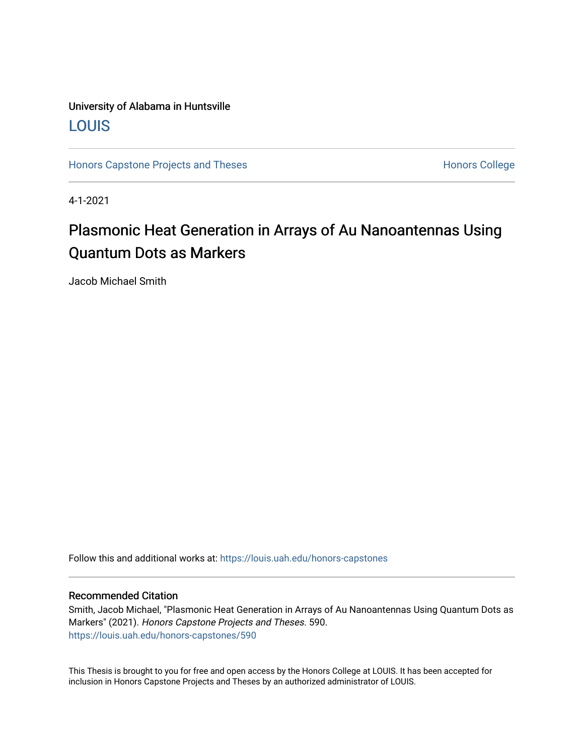### University of Alabama in Huntsville [LOUIS](https://louis.uah.edu/)

[Honors Capstone Projects and Theses](https://louis.uah.edu/honors-capstones) **Honors College** Honors College

4-1-2021

## Plasmonic Heat Generation in Arrays of Au Nanoantennas Using Quantum Dots as Markers

Jacob Michael Smith

Follow this and additional works at: [https://louis.uah.edu/honors-capstones](https://louis.uah.edu/honors-capstones?utm_source=louis.uah.edu%2Fhonors-capstones%2F590&utm_medium=PDF&utm_campaign=PDFCoverPages) 

#### Recommended Citation

Smith, Jacob Michael, "Plasmonic Heat Generation in Arrays of Au Nanoantennas Using Quantum Dots as Markers" (2021). Honors Capstone Projects and Theses. 590. [https://louis.uah.edu/honors-capstones/590](https://louis.uah.edu/honors-capstones/590?utm_source=louis.uah.edu%2Fhonors-capstones%2F590&utm_medium=PDF&utm_campaign=PDFCoverPages) 

This Thesis is brought to you for free and open access by the Honors College at LOUIS. It has been accepted for inclusion in Honors Capstone Projects and Theses by an authorized administrator of LOUIS.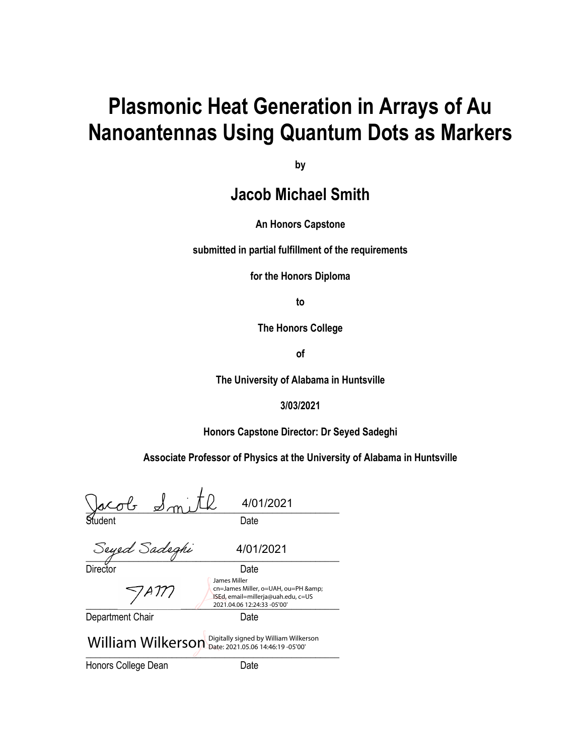# **Plasmonic Heat Generation in Arrays of Au Nanoantennas Using Quantum Dots as Markers**

**by**

**Jacob Michael Smith**

**An Honors Capstone**

**submitted in partial fulfillment of the requirements** 

**for the Honors Diploma**

**to** 

**The Honors College** 

**of** 

**The University of Alabama in Huntsville**

**3/03/2021**

**Honors Capstone Director: Dr Seyed Sadeghi**

**Associate Professor of Physics at the University of Alabama in Huntsville**

 $\frac{1}{2}$ Student Date Seyed Sadeghi 4/01/2021 4/01/2021

Director Date

 $7$ AM  $2021.04.06\ 12:24:33\ -05'00'$ 

Department Chair **Date** 

cn=James Miller, o=UAH, ou=PH & ISEd, email=millerja@uah.edu, c=US

James Miller

 $2021.55.0014.40.150300$ William Wilkerson Digitally signed by William Wilkerson

Honors College Dean Date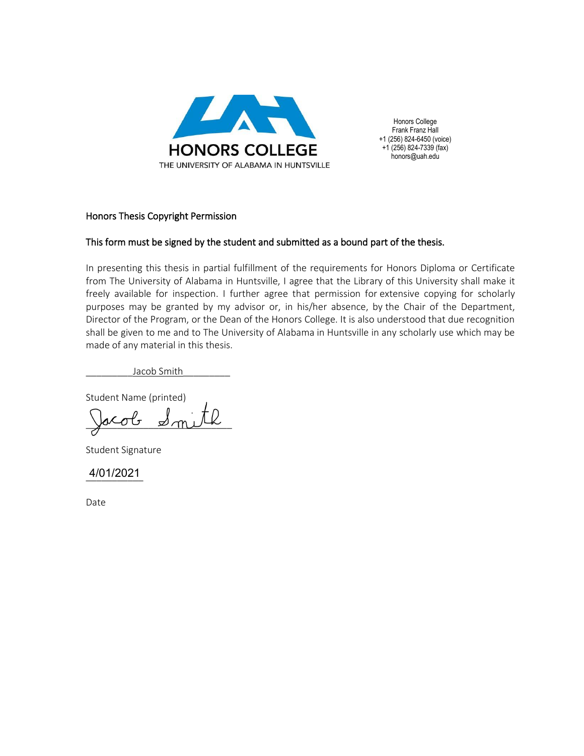

Honors College Frank Franz Hall +1 (256) 824-6450 (voice)  $+1$  (256) 824-7339 (fax) honors@uah.edu

#### Honors Thesis Copyright Permission

#### This form must be signed by the student and submitted as a bound part of the thesis.

In presenting this thesis in partial fulfillment of the requirements for Honors Diploma or Certificate from The University of Alabama in Huntsville, I agree that the Library of this University shall make it freely available for inspection. I further agree that permission for extensive copying for scholarly purposes may be granted by my advisor or, in his/her absence, by the Chair of the Department, Director of the Program, or the Dean of the Honors College. It is also understood that due recognition shall be given to me and to The University of Alabama in Huntsville in any scholarly use which may be made of any material in this thesis.

Jacob Smith

Student Name (printed)

Jacob  $\mathcal{A}_{\text{mix}}$ 

Student Signature

\_\_\_\_\_\_\_\_\_\_\_ 4/01/2021

Date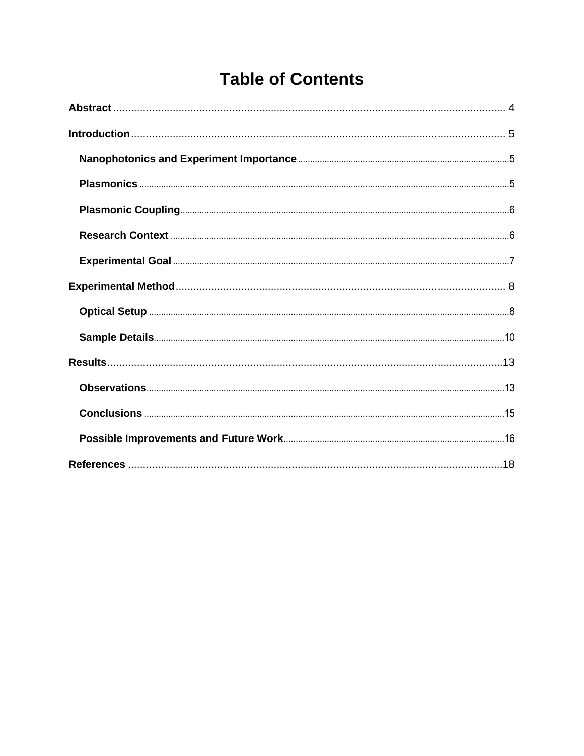## **Table of Contents**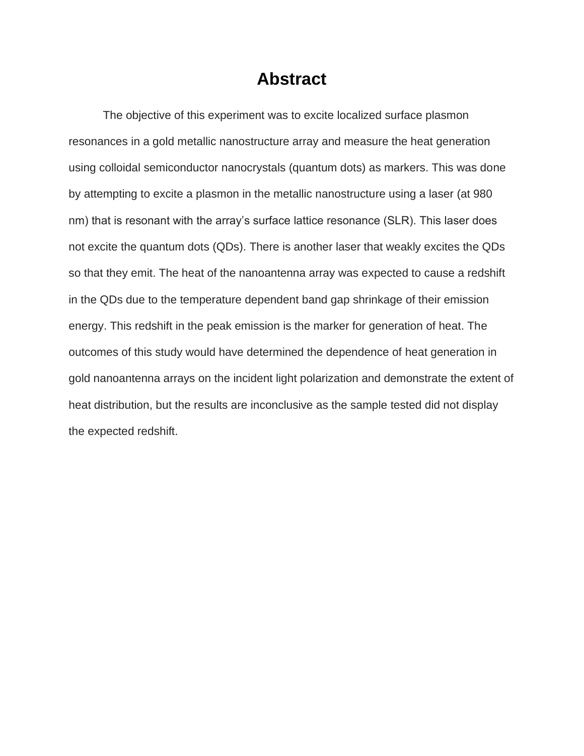## **Abstract**

<span id="page-4-0"></span>The objective of this experiment was to excite localized surface plasmon resonances in a gold metallic nanostructure array and measure the heat generation using colloidal semiconductor nanocrystals (quantum dots) as markers. This was done by attempting to excite a plasmon in the metallic nanostructure using a laser (at 980 nm) that is resonant with the array's surface lattice resonance (SLR). This laser does not excite the quantum dots (QDs). There is another laser that weakly excites the QDs so that they emit. The heat of the nanoantenna array was expected to cause a redshift in the QDs due to the temperature dependent band gap shrinkage of their emission energy. This redshift in the peak emission is the marker for generation of heat. The outcomes of this study would have determined the dependence of heat generation in gold nanoantenna arrays on the incident light polarization and demonstrate the extent of heat distribution, but the results are inconclusive as the sample tested did not display the expected redshift.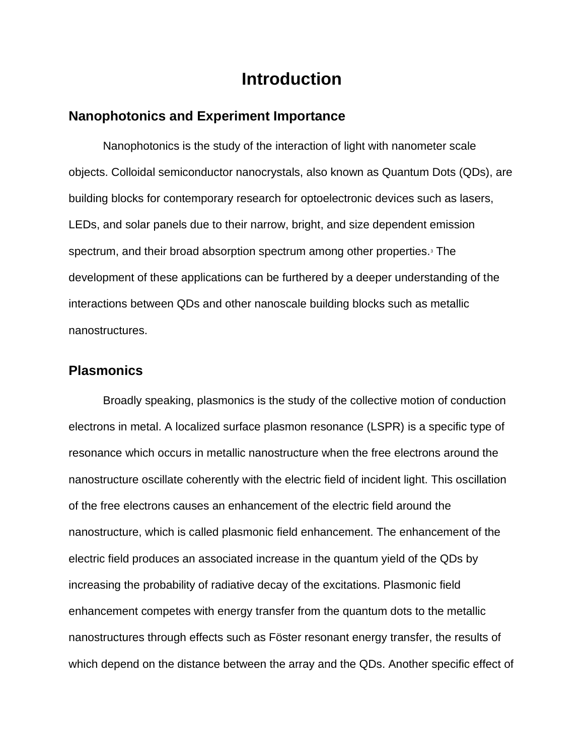## **Introduction**

#### <span id="page-5-1"></span><span id="page-5-0"></span>**Nanophotonics and Experiment Importance**

Nanophotonics is the study of the interaction of light with nanometer scale objects. Colloidal semiconductor nanocrystals, also known as Quantum Dots (QDs), are building blocks for contemporary research for optoelectronic devices such as lasers, LEDs, and solar panels due to their narrow, bright, and size dependent emission spectrum, and their broad absorption spectrum among other properties.<sup>3</sup> The development of these applications can be furthered by a deeper understanding of the interactions between QDs and other nanoscale building blocks such as metallic nanostructures.

#### <span id="page-5-2"></span>**Plasmonics**

Broadly speaking, plasmonics is the study of the collective motion of conduction electrons in metal. A localized surface plasmon resonance (LSPR) is a specific type of resonance which occurs in metallic nanostructure when the free electrons around the nanostructure oscillate coherently with the electric field of incident light. This oscillation of the free electrons causes an enhancement of the electric field around the nanostructure, which is called plasmonic field enhancement. The enhancement of the electric field produces an associated increase in the quantum yield of the QDs by increasing the probability of radiative decay of the excitations. Plasmonic field enhancement competes with energy transfer from the quantum dots to the metallic nanostructures through effects such as Föster resonant energy transfer, the results of which depend on the distance between the array and the QDs. Another specific effect of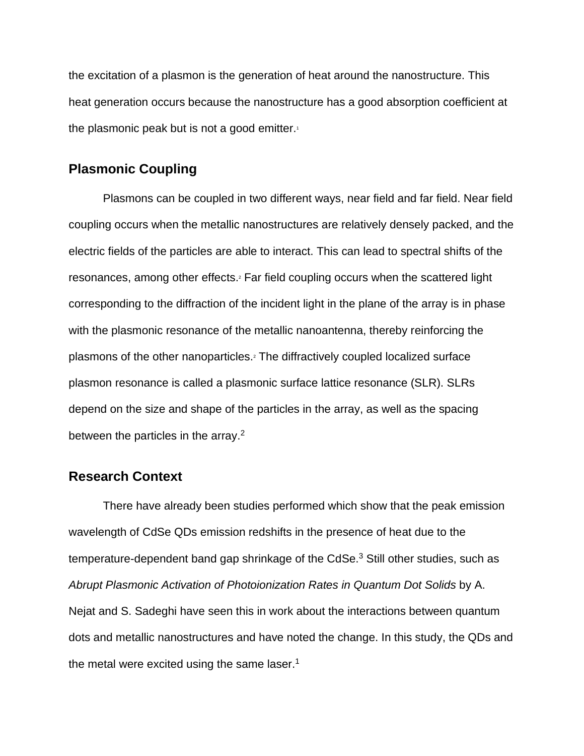the excitation of a plasmon is the generation of heat around the nanostructure. This heat generation occurs because the nanostructure has a good absorption coefficient at the plasmonic peak but is not a good emitter. $1$ 

#### <span id="page-6-0"></span>**Plasmonic Coupling**

Plasmons can be coupled in two different ways, near field and far field. Near field coupling occurs when the metallic nanostructures are relatively densely packed, and the electric fields of the particles are able to interact. This can lead to spectral shifts of the resonances, among other effects.<sup>2</sup> Far field coupling occurs when the scattered light corresponding to the diffraction of the incident light in the plane of the array is in phase with the plasmonic resonance of the metallic nanoantenna, thereby reinforcing the plasmons of the other nanoparticles.<sup>2</sup> The diffractively coupled localized surface plasmon resonance is called a plasmonic surface lattice resonance (SLR). SLRs depend on the size and shape of the particles in the array, as well as the spacing between the particles in the array.<sup>2</sup>

#### <span id="page-6-1"></span>**Research Context**

There have already been studies performed which show that the peak emission wavelength of CdSe QDs emission redshifts in the presence of heat due to the temperature-dependent band gap shrinkage of the CdSe.<sup>3</sup> Still other studies, such as *Abrupt Plasmonic Activation of Photoionization Rates in Quantum Dot Solids* by A. Nejat and S. Sadeghi have seen this in work about the interactions between quantum dots and metallic nanostructures and have noted the change. In this study, the QDs and the metal were excited using the same laser.<sup>1</sup>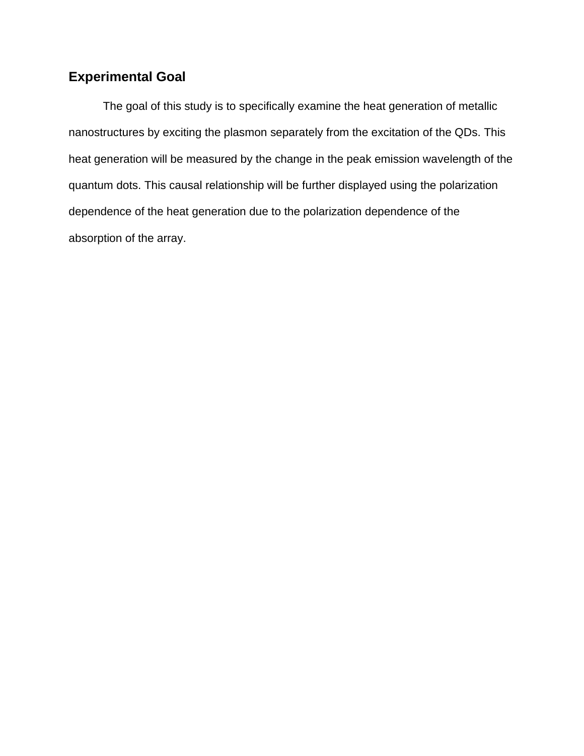### <span id="page-7-0"></span>**Experimental Goal**

The goal of this study is to specifically examine the heat generation of metallic nanostructures by exciting the plasmon separately from the excitation of the QDs. This heat generation will be measured by the change in the peak emission wavelength of the quantum dots. This causal relationship will be further displayed using the polarization dependence of the heat generation due to the polarization dependence of the absorption of the array.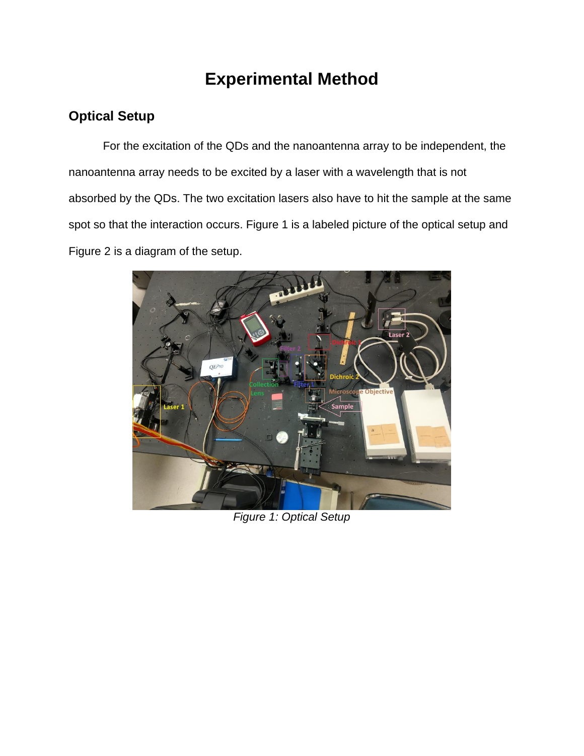## **Experimental Method**

### <span id="page-8-1"></span><span id="page-8-0"></span>**Optical Setup**

For the excitation of the QDs and the nanoantenna array to be independent, the nanoantenna array needs to be excited by a laser with a wavelength that is not absorbed by the QDs. The two excitation lasers also have to hit the sample at the same spot so that the interaction occurs. Figure 1 is a labeled picture of the optical setup and Figure 2 is a diagram of the setup.



*Figure 1: Optical Setup*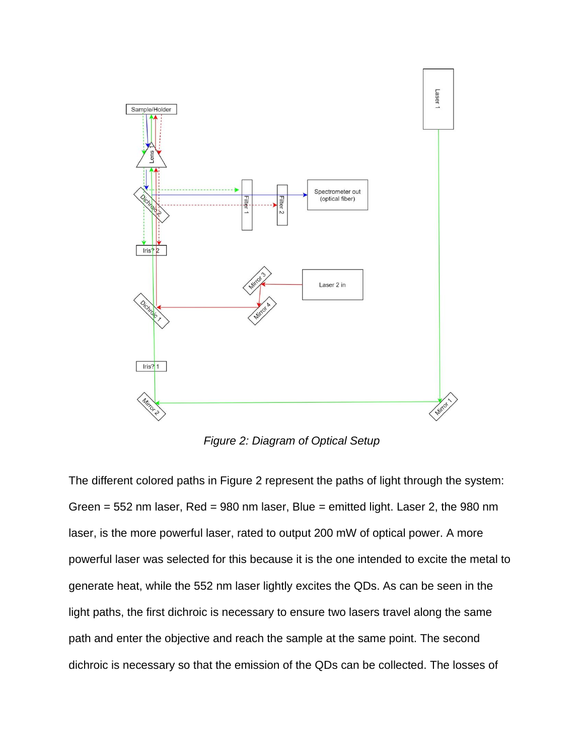

*Figure 2: Diagram of Optical Setup*

The different colored paths in Figure 2 represent the paths of light through the system: Green  $= 552$  nm laser, Red  $= 980$  nm laser, Blue  $=$  emitted light. Laser 2, the 980 nm laser, is the more powerful laser, rated to output 200 mW of optical power. A more powerful laser was selected for this because it is the one intended to excite the metal to generate heat, while the 552 nm laser lightly excites the QDs. As can be seen in the light paths, the first dichroic is necessary to ensure two lasers travel along the same path and enter the objective and reach the sample at the same point. The second dichroic is necessary so that the emission of the QDs can be collected. The losses of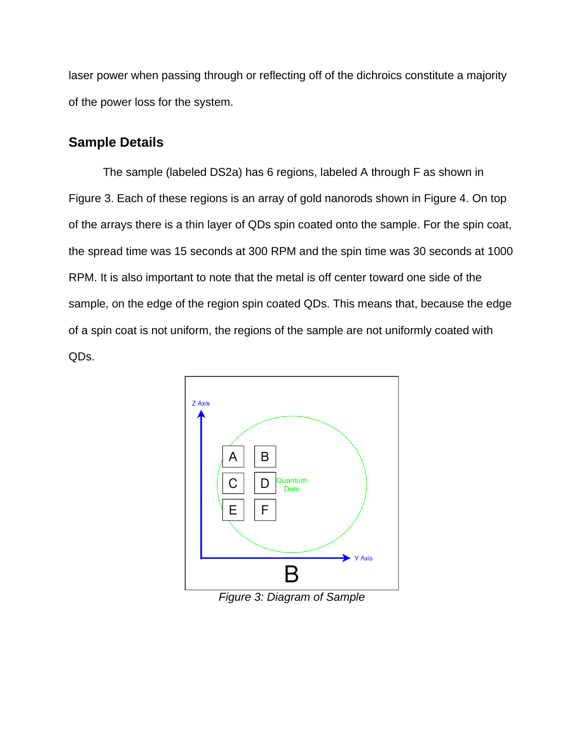laser power when passing through or reflecting off of the dichroics constitute a majority of the power loss for the system.

### <span id="page-10-0"></span>**Sample Details**

The sample (labeled DS2a) has 6 regions, labeled A through F as shown in Figure 3. Each of these regions is an array of gold nanorods shown in Figure 4. On top of the arrays there is a thin layer of QDs spin coated onto the sample. For the spin coat, the spread time was 15 seconds at 300 RPM and the spin time was 30 seconds at 1000 RPM. It is also important to note that the metal is off center toward one side of the sample, on the edge of the region spin coated QDs. This means that, because the edge of a spin coat is not uniform, the regions of the sample are not uniformly coated with QDs.



*Figure 3: Diagram of Sample*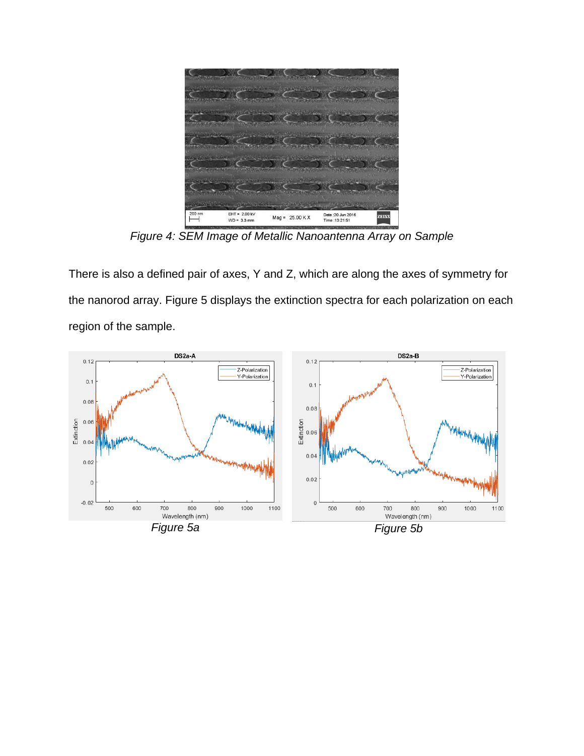

*Figure 4: SEM Image of Metallic Nanoantenna Array on Sample*

There is also a defined pair of axes, Y and Z, which are along the axes of symmetry for the nanorod array. Figure 5 displays the extinction spectra for each polarization on each region of the sample.

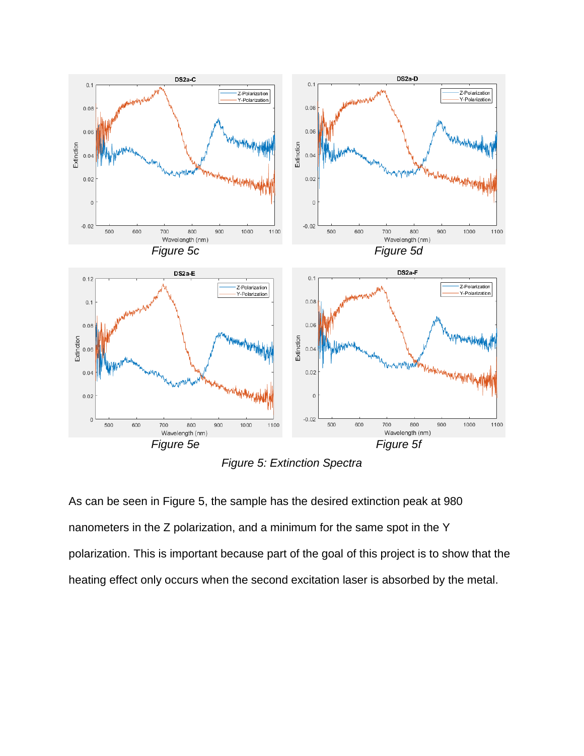

*Figure 5: Extinction Spectra*

As can be seen in Figure 5, the sample has the desired extinction peak at 980 nanometers in the Z polarization, and a minimum for the same spot in the Y polarization. This is important because part of the goal of this project is to show that the heating effect only occurs when the second excitation laser is absorbed by the metal.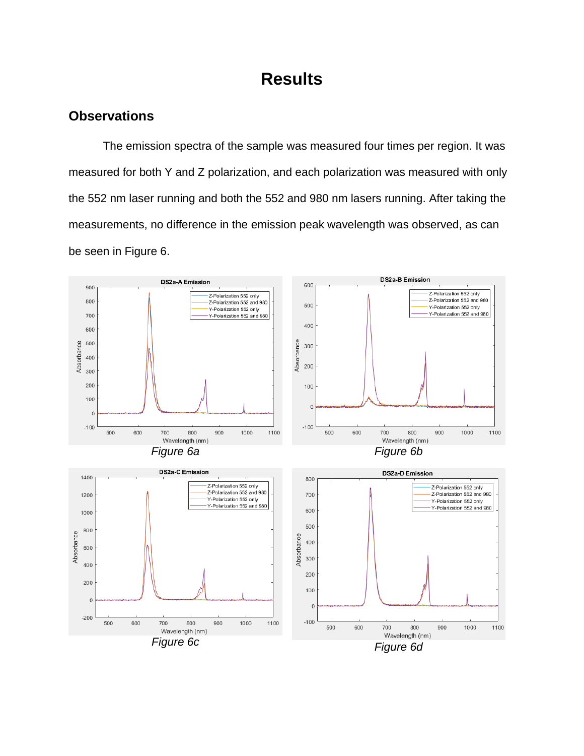## **Results**

### <span id="page-13-1"></span><span id="page-13-0"></span>**Observations**

The emission spectra of the sample was measured four times per region. It was measured for both Y and Z polarization, and each polarization was measured with only the 552 nm laser running and both the 552 and 980 nm lasers running. After taking the measurements, no difference in the emission peak wavelength was observed, as can be seen in Figure 6.

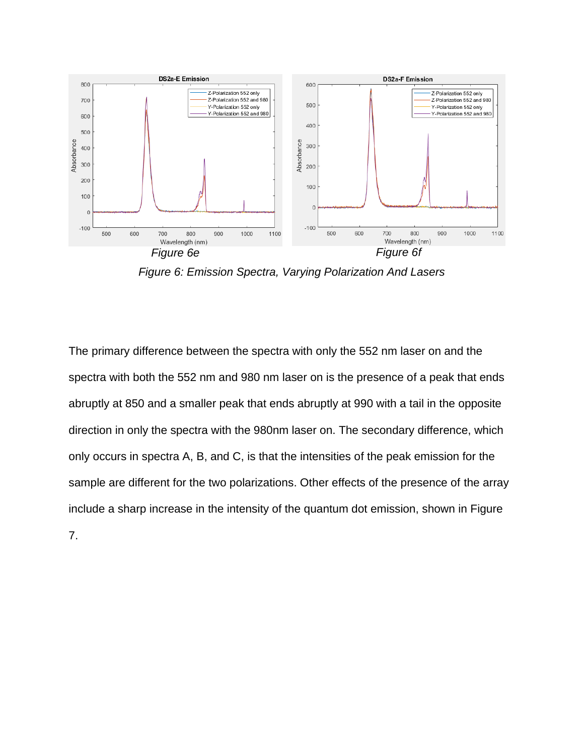

*Figure 6: Emission Spectra, Varying Polarization And Lasers*

The primary difference between the spectra with only the 552 nm laser on and the spectra with both the 552 nm and 980 nm laser on is the presence of a peak that ends abruptly at 850 and a smaller peak that ends abruptly at 990 with a tail in the opposite direction in only the spectra with the 980nm laser on. The secondary difference, which only occurs in spectra A, B, and C, is that the intensities of the peak emission for the sample are different for the two polarizations. Other effects of the presence of the array include a sharp increase in the intensity of the quantum dot emission, shown in Figure 7.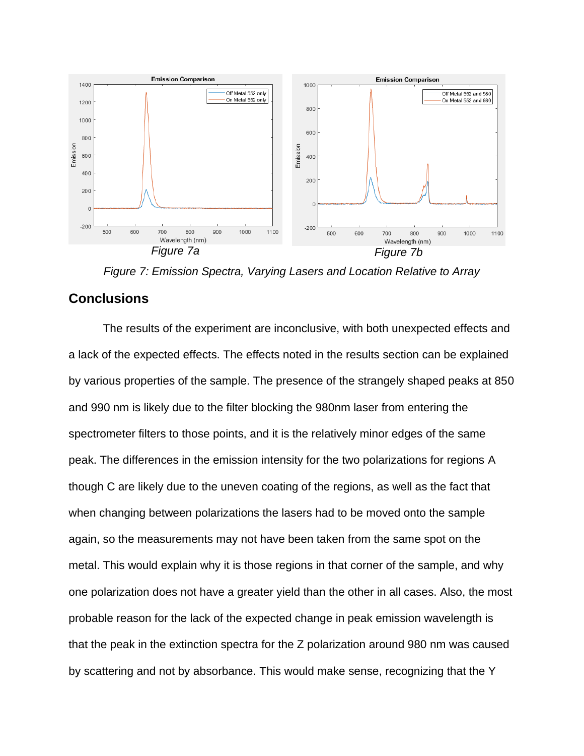

*Figure 7: Emission Spectra, Varying Lasers and Location Relative to Array*

#### <span id="page-15-0"></span>**Conclusions**

The results of the experiment are inconclusive, with both unexpected effects and a lack of the expected effects. The effects noted in the results section can be explained by various properties of the sample. The presence of the strangely shaped peaks at 850 and 990 nm is likely due to the filter blocking the 980nm laser from entering the spectrometer filters to those points, and it is the relatively minor edges of the same peak. The differences in the emission intensity for the two polarizations for regions A though C are likely due to the uneven coating of the regions, as well as the fact that when changing between polarizations the lasers had to be moved onto the sample again, so the measurements may not have been taken from the same spot on the metal. This would explain why it is those regions in that corner of the sample, and why one polarization does not have a greater yield than the other in all cases. Also, the most probable reason for the lack of the expected change in peak emission wavelength is that the peak in the extinction spectra for the Z polarization around 980 nm was caused by scattering and not by absorbance. This would make sense, recognizing that the Y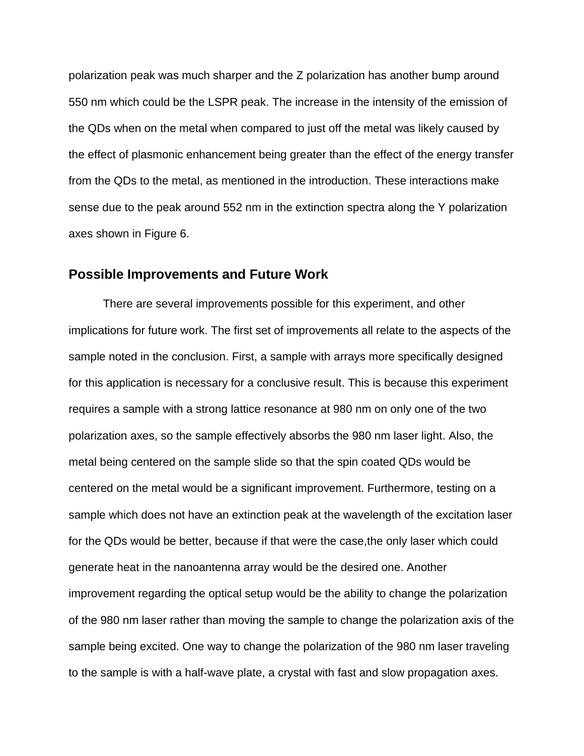polarization peak was much sharper and the Z polarization has another bump around 550 nm which could be the LSPR peak. The increase in the intensity of the emission of the QDs when on the metal when compared to just off the metal was likely caused by the effect of plasmonic enhancement being greater than the effect of the energy transfer from the QDs to the metal, as mentioned in the introduction. These interactions make sense due to the peak around 552 nm in the extinction spectra along the Y polarization axes shown in Figure 6.

#### <span id="page-16-0"></span>**Possible Improvements and Future Work**

There are several improvements possible for this experiment, and other implications for future work. The first set of improvements all relate to the aspects of the sample noted in the conclusion. First, a sample with arrays more specifically designed for this application is necessary for a conclusive result. This is because this experiment requires a sample with a strong lattice resonance at 980 nm on only one of the two polarization axes, so the sample effectively absorbs the 980 nm laser light. Also, the metal being centered on the sample slide so that the spin coated QDs would be centered on the metal would be a significant improvement. Furthermore, testing on a sample which does not have an extinction peak at the wavelength of the excitation laser for the QDs would be better, because if that were the case,the only laser which could generate heat in the nanoantenna array would be the desired one. Another improvement regarding the optical setup would be the ability to change the polarization of the 980 nm laser rather than moving the sample to change the polarization axis of the sample being excited. One way to change the polarization of the 980 nm laser traveling to the sample is with a half-wave plate, a crystal with fast and slow propagation axes.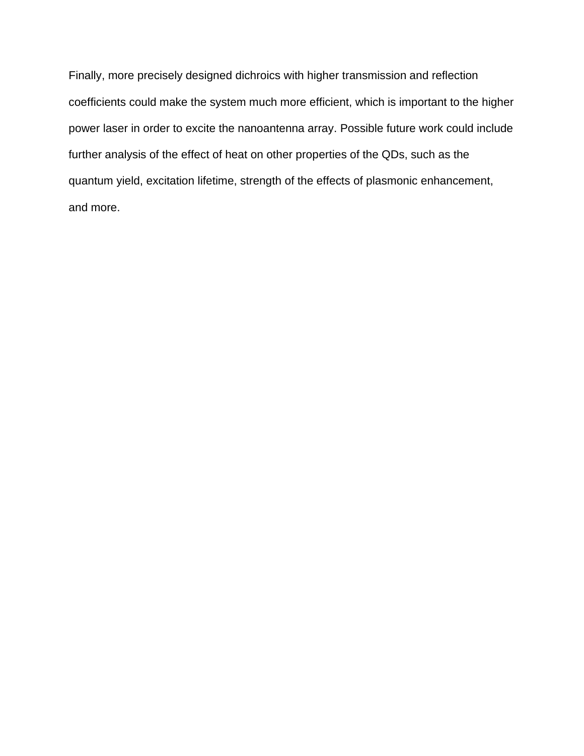Finally, more precisely designed dichroics with higher transmission and reflection coefficients could make the system much more efficient, which is important to the higher power laser in order to excite the nanoantenna array. Possible future work could include further analysis of the effect of heat on other properties of the QDs, such as the quantum yield, excitation lifetime, strength of the effects of plasmonic enhancement, and more.